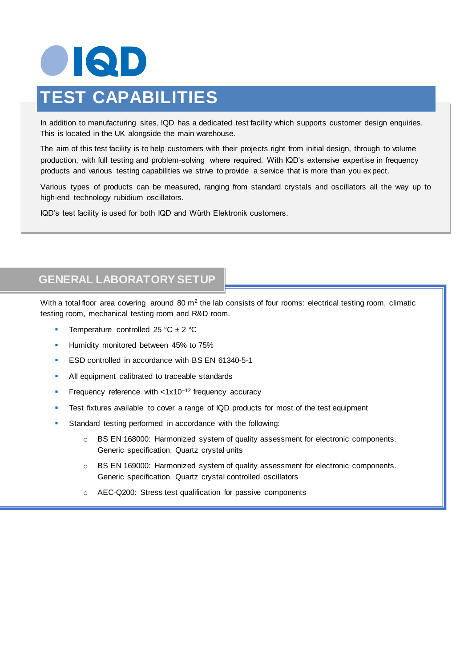# OIQD **TEST CAPABILITIES**

In addition to manufacturing sites, IQD has a dedicated test facility which supports customer design enquiries. This is located in the UK alongside the main warehouse.

The aim of this test facility is to help customers with their projects right from initial design, through to volume production, with full testing and problem-solving where required. With IQD's extensive expertise in frequency products and various testing capabilities we strive to provide a service that is more than you ex pect.

Various types of products can be measured, ranging from standard crystals and oscillators all the way up to high-end technology rubidium oscillators.

IQD's test facility is used for both IQD and Würth Elektronik customers.

## **GENERAL LABORATORY SETUP**

With a total floor area covering around 80  $m^2$  the lab consists of four rooms: electrical testing room, climatic testing room, mechanical testing room and R&D room.

- Temperature controlled 25 °C  $\pm$  2 °C
- **Humidity monitored between 45% to 75%**
- ESD controlled in accordance with BS EN 61340-5-1
- All equipment calibrated to traceable standards
- Frequency reference with  $< 1x10^{-12}$  frequency accuracy
- Test fixtures available to cover a range of IQD products for most of the test equipment
- Standard testing performed in accordance with the following:
	- o BS EN 168000: Harmonized system of quality assessment for electronic components. Generic specification. Quartz crystal units
	- o BS EN 169000: Harmonized system of quality assessment for electronic components. Generic specification. Quartz crystal controlled oscillators
	- o AEC-Q200: Stress test qualification for passive components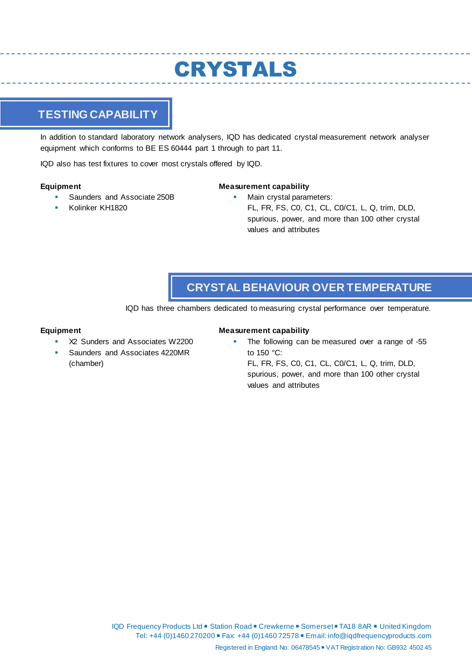## CRYSTALS

## **TESTING CAPABILITY**

In addition to standard laboratory network analysers, IQD has dedicated crystal measurement network analyser equipment which conforms to BE ES 60444 part 1 through to part 11.

IQD also has test fixtures to cover most crystals offered by IQD.

#### **Equipment**

- Saunders and Associate 250B
- Kolinker KH1820

#### **Measurement capability**

 Main crystal parameters: FL, FR, FS, C0, C1, CL, C0/C1, L, Q, trim, DLD, spurious, power, and more than 100 other crystal values and attributes

## **CRYSTAL BEHAVIOUR OVER TEMPERATURE**

IQD has three chambers dedicated to measuring crystal performance over temperature.

#### **Equipment**

- X2 Sunders and Associates W2200
- Saunders and Associates 4220MR (chamber)

#### **Measurement capability**

The following can be measured over a range of -55 to 150 °C:

FL, FR, FS, C0, C1, CL, C0/C1, L, Q, trim, DLD, spurious, power, and more than 100 other crystal values and attributes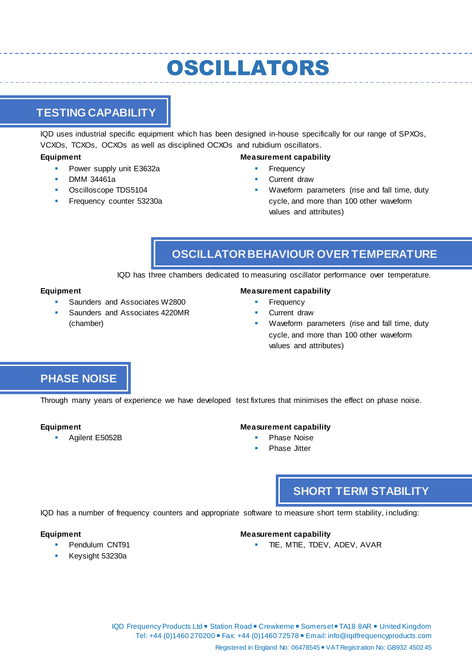## OSCILLATORS

## **TESTING CAPABILITY**

IQD uses industrial specific equipment which has been designed in-house specifically for our range of SPXOs, VCXOs, TCXOs, OCXOs as well as disciplined OCXOs and rubidium oscillators.

#### **Equipment**

- Power supply unit E3632a
- DMM 34461a
- Oscilloscope TDS5104
- Frequency counter 53230a

#### **Measurement capability**

- Frequency
- Current draw
- Waveform parameters (rise and fall time, duty cycle, and more than 100 other waveform values and attributes)

## **OSCILLATOR BEHAVIOUR OVER TEMPERATURE**

IQD has three chambers dedicated to measuring oscillator performance over temperature.

#### **Equipment**

- Saunders and Associates W2800
- Saunders and Associates 4220MR (chamber)

#### **Measurement capability**

- Frequency
- Current draw
- Waveform parameters (rise and fall time, duty cycle, and more than 100 other waveform values and attributes)

## **PHASE NOISE**

Through many years of experience we have developed test fixtures that minimises the effect on phase noise.

#### **Equipment**

Agilent E5052B

#### **Measurement capability**

- Phase Noise
- Phase Jitter

## **SHORT TERM STABILITY**

IQD has a number of frequency counters and appropriate software to measure short term stability, including:

#### **Equipment**

- Pendulum CNT91
- Keysight 53230a

#### **Measurement capability**

TIE, MTIE, TDEV, ADEV, AVAR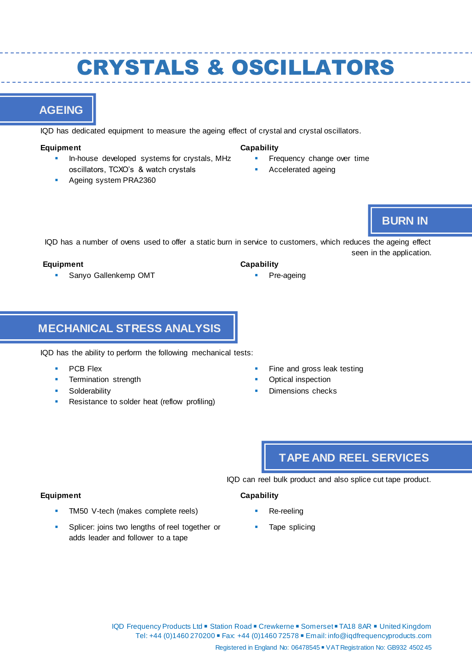## CRYSTALS & OSCILLATORS

## **AGEING**

IQD has dedicated equipment to measure the ageing effect of crystal and crystal oscillators.

#### **Equipment**

- In-house developed systems for crystals, MHz oscillators, TCXO's & watch crystals
- Ageing system PRA2360

#### **Capability**

**Capability** 

- Frequency change over time
- Accelerated ageing

### **BURN IN**

IQD has a number of ovens used to offer a static burn in service to customers, which reduces the ageing effect seen in the application.

#### **Equipment**

**Sanyo Gallenkemp OMT** 

### **MECHANICAL STRESS ANALYSIS**

IQD has the ability to perform the following mechanical tests:

PCB Flex

**Equipment** 

- Termination strength
- Solderability
- Resistance to solder heat (reflow profiling)
- Fine and gross leak testing
- Optical inspection

Pre-ageing

Dimensions checks

## **TAPE AND REEL SERVICES**

IQD can reel bulk product and also splice cut tape product.

#### **Capability**

- TM50 V-tech (makes complete reels)
- Splicer: joins two lengths of reel together or adds leader and follower to a tape
- Re-reeling Tape splicing

IQD Frequency Products Ltd ■ Station Road ■ Crewkerne ■ Somerset ■ TA18 8AR ■ United Kingdom Tel: +44 (0)1460 270200 ■ Fax: +44 (0)1460 72578 ■ Email: info@iqdfrequencyproducts.com Registered in England No: 06478545 ■ VAT Registration No: GB932 4502 45